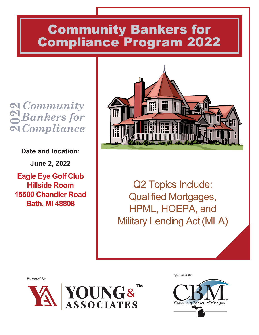# Community Bankers for Compliance Program 2022

*Community Bankers for*  **Q** Community<br>Q Bankers for<br>N Compliance

**Date and location:**

**June 2, 2022**

**Eagle Eye Golf Club Hillside Room 15500 Chandler Road Bath, MI 48808**



Q2 Topics Include: Qualified Mortgages, HPML, HOEPA, and Military Lending Act(MLA)

*Presented By:*



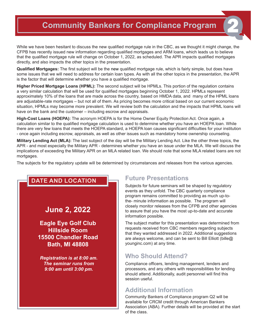## **Community Bankers for Compliance Program**

While we have been hesitant to discuss the new qualified mortgage rule in the CBC, as we thought it might change, the CFPB has recently issued new information regarding qualified mortgages and ARM loans, which leads us to believe that the qualified mortgage rule will change on October 1, 2022, as scheduled. The APR impacts qualified mortgages directly, and also impacts the other topics in the presentation.

**Qualified Mortgages:** The first subject will be the new qualified mortgage rule, which is fairly simple, but does have some issues that we will need to address for certain loan types. As with all the other topics in the presentation, the APR is the factor that will determine whether you have a qualified mortgage.

**Higher Priced Mortgage Loans (HPML):** The second subject will be HPMLs. This portion of the regulation contains a very similar calculation that will be used for qualified mortgages beginning October 1, 2022. HPMLs represent approximately 10% of the loans that are made across the country, based on HMDA data, and many of the HPML loans are adjustable-rate mortgages – but not all of them. As pricing becomes more critical based on our current economic situation, HPMLs may become more prevalent. We will review both the calculation and the impacts that HPML loans will have on the bank and the customer – including escrow and appraisals.

**High-Cost Loans (HOEPA):** The acronym HOEPA is for the Home Owner Equity Protection Act. Once again, a calculation similar to the qualified mortgage calculation is used to determine whether you have an HOEPA loan. While there are very few loans that meets the HOEPA standard, a HOEPA loan causes significant difficulties for your institution - once again including escrow, appraisals, as well as other issues such as mandatory home ownership counseling.

**Military Lending Act (MLA):** The last subject of the day will be the Military Lending Act. Like the other three topics, the APR - and most especially the Military APR - determines whether you have an issue under the MLA. We will discuss the implications of exceeding the Military APR on an MLA related loan. We should note that some MLA related loans are not mortgages.

The subjects for the regulatory update will be determined by circumstances and releases from the various agencies.

#### **DATE AND LOCATION**

#### **June 2, 2022**

**Eagle Eye Golf Club Hillside Room 15500 Chandler Road Bath, MI 48808**

*Registration is at 8:00 am. The seminar runs from 9:00 am until 3:00 pm.*

#### **Future Presentations**

Subjects for future seminars will be shaped by regulatory events as they unfold. The CBC quarterly compliance program remains committed to providing as much up-tothe- minute information as possible. The program will closely monitor releases from the CFPB and other agencies to assure that you have the most up-to-date and accurate information possible.

The subject matter for this presentation was determined from requests received from CBC members regarding subjects that they wanted addressed in 2022. Additional suggestions are always welcome, and can be sent to Bill Elliott (bille@ younginc.com) at any time.

#### **Who Should Attend?**

Compliance officers, lending management, lenders and processors, and any others with responsibilities for lending should attend. Additionally, audit personnel will find this session useful.

#### **Additional Information**

Community Bankers of Compliance program Q2 will be available for CRCM credit through American Bankers Association (ABA). Further details will be provided at the start of the class.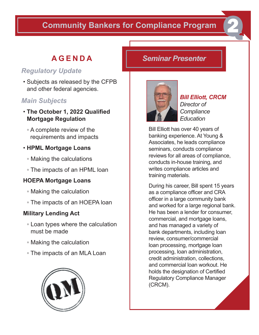## **Community Bankers for Compliance Program**

## **AGENDA**

### *Regulatory Update*

• Subjects as released by the CFPB and other federal agencies.

### *Main Subjects*

- **The October 1, 2022 Qualified Mortgage Regulation**
	- A complete review of the requirements and impacts

#### • **HPML Mortgage Loans**

- Making the calculations
- The impacts of an HPML loan

#### **HOEPA Mortgage Loans**

- Making the calculation
- The impacts of an HOEPA loan

#### **Military Lending Act**

- Loan types where the calculation must be made
- Making the calculation
- The impacts of an MLA Loan



### *Seminar Presenter*



*Bill Elliott, CRCM Director of Compliance Education*

Bill Elliott has over 40 years of banking experience. At Young & Associates, he leads compliance seminars, conducts compliance reviews for all areas of compliance, conducts in-house training, and writes compliance articles and training materials.

During his career, Bill spent 15 years as a compliance officer and CRA officer in a large community bank and worked for a large regional bank. He has been a lender for consumer, commercial, and mortgage loans, and has managed a variety of bank departments, including loan review, consumer/commercial loan processing, mortgage loan processing, loan administration, credit administration, collections, and commercial loan workout. He holds the designation of Certified Regulatory Compliance Manager (CRCM).